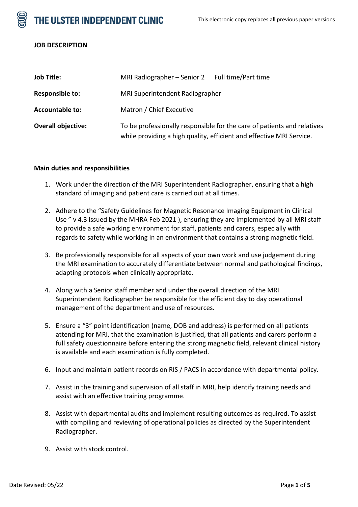



## **JOB DESCRIPTION**

| <b>Job Title:</b>         | MRI Radiographer - Senior 2 Full time/Part time                                                                                                 |  |
|---------------------------|-------------------------------------------------------------------------------------------------------------------------------------------------|--|
| Responsible to:           | MRI Superintendent Radiographer                                                                                                                 |  |
| <b>Accountable to:</b>    | Matron / Chief Executive                                                                                                                        |  |
| <b>Overall objective:</b> | To be professionally responsible for the care of patients and relatives<br>while providing a high quality, efficient and effective MRI Service. |  |

## **Main duties and responsibilities**

- 1. Work under the direction of the MRI Superintendent Radiographer, ensuring that a high standard of imaging and patient care is carried out at all times.
- 2. Adhere to the "Safety Guidelines for Magnetic Resonance Imaging Equipment in Clinical Use " v 4.3 issued by the MHRA Feb 2021 ), ensuring they are implemented by all MRI staff to provide a safe working environment for staff, patients and carers, especially with regards to safety while working in an environment that contains a strong magnetic field.
- 3. Be professionally responsible for all aspects of your own work and use judgement during the MRI examination to accurately differentiate between normal and pathological findings, adapting protocols when clinically appropriate.
- 4. Along with a Senior staff member and under the overall direction of the MRI Superintendent Radiographer be responsible for the efficient day to day operational management of the department and use of resources.
- 5. Ensure a "3" point identification (name, DOB and address) is performed on all patients attending for MRI, that the examination is justified, that all patients and carers perform a full safety questionnaire before entering the strong magnetic field, relevant clinical history is available and each examination is fully completed.
- 6. Input and maintain patient records on RIS / PACS in accordance with departmental policy.
- 7. Assist in the training and supervision of all staff in MRI, help identify training needs and assist with an effective training programme.
- 8. Assist with departmental audits and implement resulting outcomes as required. To assist with compiling and reviewing of operational policies as directed by the Superintendent Radiographer.
- 9. Assist with stock control.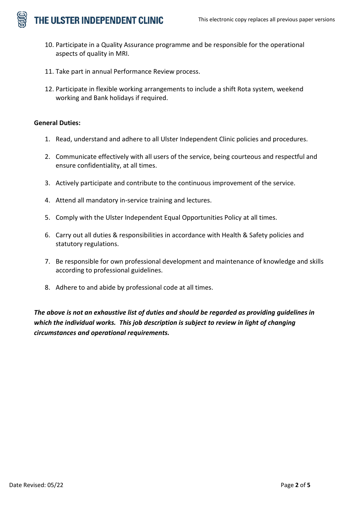THE ULSTER INDEPENDENT CLINIC

- 10. Participate in a Quality Assurance programme and be responsible for the operational aspects of quality in MRI.
- 11. Take part in annual Performance Review process.
- 12. Participate in flexible working arrangements to include a shift Rota system, weekend working and Bank holidays if required.

# **General Duties:**

- 1. Read, understand and adhere to all Ulster Independent Clinic policies and procedures.
- 2. Communicate effectively with all users of the service, being courteous and respectful and ensure confidentiality, at all times.
- 3. Actively participate and contribute to the continuous improvement of the service.
- 4. Attend all mandatory in-service training and lectures.
- 5. Comply with the Ulster Independent Equal Opportunities Policy at all times.
- 6. Carry out all duties & responsibilities in accordance with Health & Safety policies and statutory regulations.
- 7. Be responsible for own professional development and maintenance of knowledge and skills according to professional guidelines.
- 8. Adhere to and abide by professional code at all times.

*The above is not an exhaustive list of duties and should be regarded as providing guidelines in which the individual works. This job description is subject to review in light of changing circumstances and operational requirements.*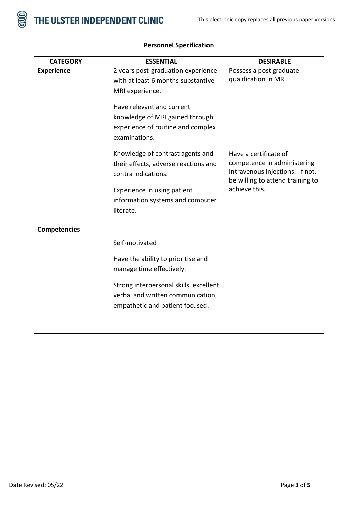

| <b>CATEGORY</b>     | <b>ESSENTIAL</b>                       | <b>DESIRABLE</b>                 |
|---------------------|----------------------------------------|----------------------------------|
| <b>Experience</b>   | 2 years post-graduation experience     | Possess a post graduate          |
|                     | with at least 6 months substantive     | qualification in MRI.            |
|                     | MRI experience.                        |                                  |
|                     | Have relevant and current              |                                  |
|                     |                                        |                                  |
|                     | knowledge of MRI gained through        |                                  |
|                     | experience of routine and complex      |                                  |
|                     | examinations.                          |                                  |
|                     | Knowledge of contrast agents and       | Have a certificate of            |
|                     | their effects, adverse reactions and   | competence in administering      |
|                     | contra indications.                    | Intravenous injections. If not,  |
|                     |                                        | be willing to attend training to |
|                     | Experience in using patient            | achieve this.                    |
|                     | information systems and computer       |                                  |
|                     | literate.                              |                                  |
| <b>Competencies</b> |                                        |                                  |
|                     | Self-motivated                         |                                  |
|                     | Have the ability to prioritise and     |                                  |
|                     | manage time effectively.               |                                  |
|                     | Strong interpersonal skills, excellent |                                  |
|                     | verbal and written communication,      |                                  |
|                     | empathetic and patient focused.        |                                  |
|                     |                                        |                                  |
|                     |                                        |                                  |

# **Personnel Specification**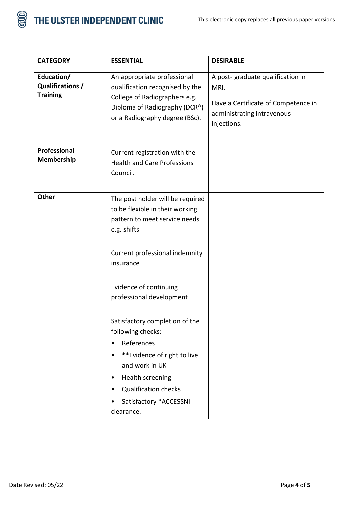



| <b>CATEGORY</b>                                   | <b>ESSENTIAL</b>                                                                                                                                                                                                                                                                                                                                                                                                                          | <b>DESIRABLE</b>                                                                                                             |
|---------------------------------------------------|-------------------------------------------------------------------------------------------------------------------------------------------------------------------------------------------------------------------------------------------------------------------------------------------------------------------------------------------------------------------------------------------------------------------------------------------|------------------------------------------------------------------------------------------------------------------------------|
| Education/<br>Qualifications /<br><b>Training</b> | An appropriate professional<br>qualification recognised by the<br>College of Radiographers e.g.<br>Diploma of Radiography (DCR®)<br>or a Radiography degree (BSc).                                                                                                                                                                                                                                                                        | A post-graduate qualification in<br>MRI.<br>Have a Certificate of Competence in<br>administrating intravenous<br>injections. |
| Professional<br>Membership                        | Current registration with the<br><b>Health and Care Professions</b><br>Council.                                                                                                                                                                                                                                                                                                                                                           |                                                                                                                              |
| Other                                             | The post holder will be required<br>to be flexible in their working<br>pattern to meet service needs<br>e.g. shifts<br>Current professional indemnity<br>insurance<br>Evidence of continuing<br>professional development<br>Satisfactory completion of the<br>following checks:<br>References<br>**Evidence of right to live<br>and work in UK<br>Health screening<br><b>Qualification checks</b><br>Satisfactory *ACCESSNI<br>clearance. |                                                                                                                              |